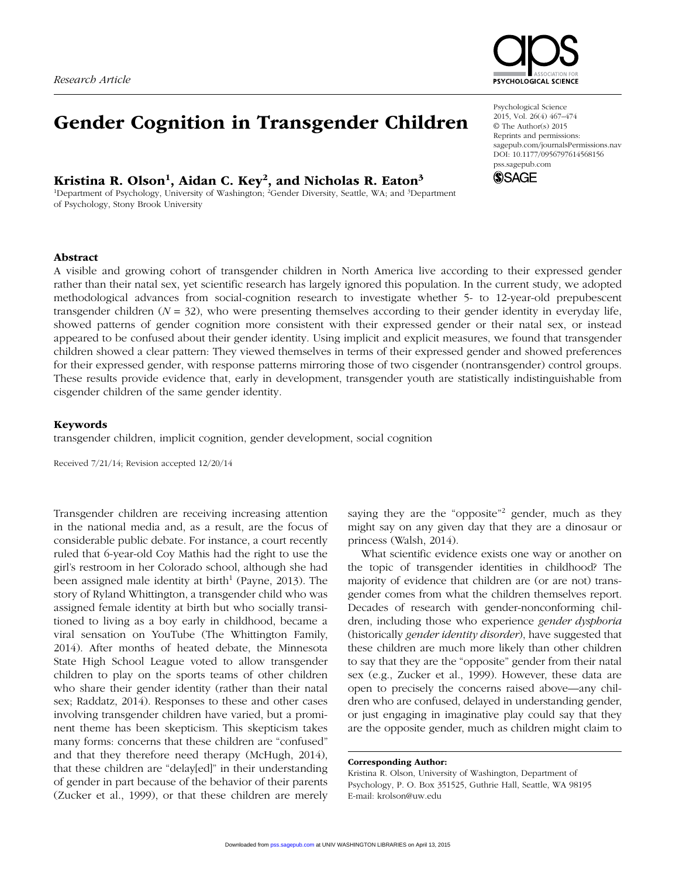# Gender Cognition in Transgender Children

# Kristina R. Olson<sup>1</sup>, Aidan C. Key<sup>2</sup>, and Nicholas R. Eaton<sup>3</sup>

<sup>1</sup>Department of Psychology, University of Washington; <sup>2</sup>Gender Diversity, Seattle, WA; and <sup>3</sup>Department of Psychology, Stony Brook University



Psychological Science 2015, Vol. 26(4) 467–474 © The Author(s) 2015 Reprints and permissions: sagepub.com/journalsPermissions.nav DOI: 10.1177/0956797614568156 pss.sagepub.com



## Abstract

A visible and growing cohort of transgender children in North America live according to their expressed gender rather than their natal sex, yet scientific research has largely ignored this population. In the current study, we adopted methodological advances from social-cognition research to investigate whether 5- to 12-year-old prepubescent transgender children (*N* = 32), who were presenting themselves according to their gender identity in everyday life, showed patterns of gender cognition more consistent with their expressed gender or their natal sex, or instead appeared to be confused about their gender identity. Using implicit and explicit measures, we found that transgender children showed a clear pattern: They viewed themselves in terms of their expressed gender and showed preferences for their expressed gender, with response patterns mirroring those of two cisgender (nontransgender) control groups. These results provide evidence that, early in development, transgender youth are statistically indistinguishable from cisgender children of the same gender identity.

#### Keywords

transgender children, implicit cognition, gender development, social cognition

Received 7/21/14; Revision accepted 12/20/14

Transgender children are receiving increasing attention in the national media and, as a result, are the focus of considerable public debate. For instance, a court recently ruled that 6-year-old Coy Mathis had the right to use the girl's restroom in her Colorado school, although she had been assigned male identity at birth<sup>1</sup> (Payne, 2013). The story of Ryland Whittington, a transgender child who was assigned female identity at birth but who socially transitioned to living as a boy early in childhood, became a viral sensation on YouTube (The Whittington Family, 2014). After months of heated debate, the Minnesota State High School League voted to allow transgender children to play on the sports teams of other children who share their gender identity (rather than their natal sex; Raddatz, 2014). Responses to these and other cases involving transgender children have varied, but a prominent theme has been skepticism. This skepticism takes many forms: concerns that these children are "confused" and that they therefore need therapy (McHugh, 2014), that these children are "delay[ed]" in their understanding of gender in part because of the behavior of their parents (Zucker et al., 1999), or that these children are merely

saying they are the "opposite"<sup>2</sup> gender, much as they might say on any given day that they are a dinosaur or princess (Walsh, 2014).

What scientific evidence exists one way or another on the topic of transgender identities in childhood? The majority of evidence that children are (or are not) transgender comes from what the children themselves report. Decades of research with gender-nonconforming children, including those who experience *gender dysphoria* (historically *gender identity disorder*), have suggested that these children are much more likely than other children to say that they are the "opposite" gender from their natal sex (e.g., Zucker et al., 1999). However, these data are open to precisely the concerns raised above—any children who are confused, delayed in understanding gender, or just engaging in imaginative play could say that they are the opposite gender, much as children might claim to

#### Corresponding Author:

Kristina R. Olson, University of Washington, Department of Psychology, P. O. Box 351525, Guthrie Hall, Seattle, WA 98195 E-mail: [krolson@uw.edu](mailto:krolson@uw.edu)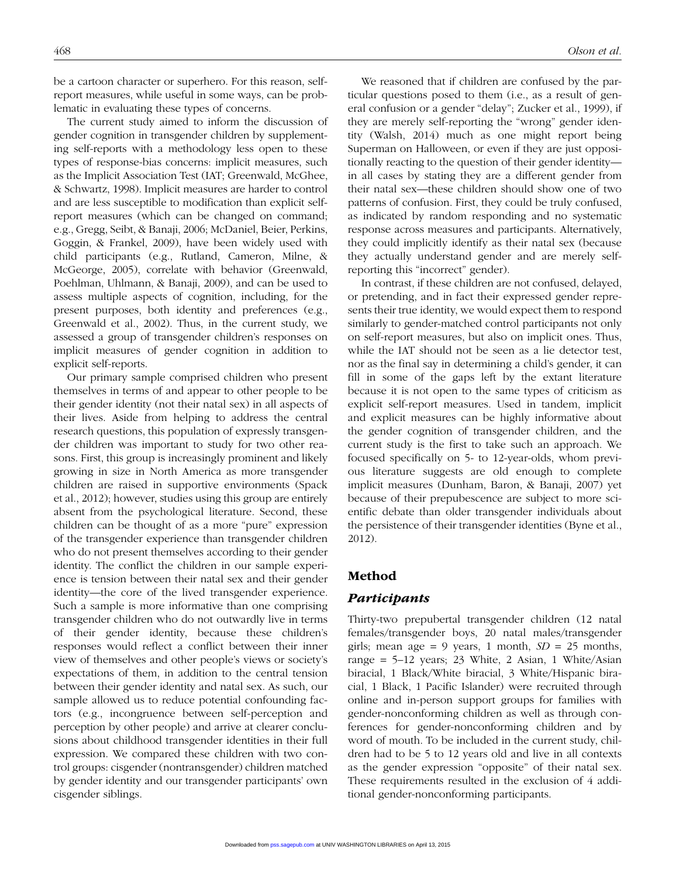be a cartoon character or superhero. For this reason, selfreport measures, while useful in some ways, can be problematic in evaluating these types of concerns.

The current study aimed to inform the discussion of gender cognition in transgender children by supplementing self-reports with a methodology less open to these types of response-bias concerns: implicit measures, such as the Implicit Association Test (IAT; Greenwald, McGhee, & Schwartz, 1998). Implicit measures are harder to control and are less susceptible to modification than explicit selfreport measures (which can be changed on command; e.g., Gregg, Seibt, & Banaji, 2006; McDaniel, Beier, Perkins, Goggin, & Frankel, 2009), have been widely used with child participants (e.g., Rutland, Cameron, Milne, & McGeorge, 2005), correlate with behavior (Greenwald, Poehlman, Uhlmann, & Banaji, 2009), and can be used to assess multiple aspects of cognition, including, for the present purposes, both identity and preferences (e.g., Greenwald et al., 2002). Thus, in the current study, we assessed a group of transgender children's responses on implicit measures of gender cognition in addition to explicit self-reports.

Our primary sample comprised children who present themselves in terms of and appear to other people to be their gender identity (not their natal sex) in all aspects of their lives. Aside from helping to address the central research questions, this population of expressly transgender children was important to study for two other reasons. First, this group is increasingly prominent and likely growing in size in North America as more transgender children are raised in supportive environments (Spack et al., 2012); however, studies using this group are entirely absent from the psychological literature. Second, these children can be thought of as a more "pure" expression of the transgender experience than transgender children who do not present themselves according to their gender identity. The conflict the children in our sample experience is tension between their natal sex and their gender identity—the core of the lived transgender experience. Such a sample is more informative than one comprising transgender children who do not outwardly live in terms of their gender identity, because these children's responses would reflect a conflict between their inner view of themselves and other people's views or society's expectations of them, in addition to the central tension between their gender identity and natal sex. As such, our sample allowed us to reduce potential confounding factors (e.g., incongruence between self-perception and perception by other people) and arrive at clearer conclusions about childhood transgender identities in their full expression. We compared these children with two control groups: cisgender (nontransgender) children matched by gender identity and our transgender participants' own cisgender siblings.

We reasoned that if children are confused by the particular questions posed to them (i.e., as a result of general confusion or a gender "delay"; Zucker et al., 1999), if they are merely self-reporting the "wrong" gender identity (Walsh, 2014) much as one might report being Superman on Halloween, or even if they are just oppositionally reacting to the question of their gender identity in all cases by stating they are a different gender from their natal sex—these children should show one of two patterns of confusion. First, they could be truly confused, as indicated by random responding and no systematic response across measures and participants. Alternatively, they could implicitly identify as their natal sex (because they actually understand gender and are merely selfreporting this "incorrect" gender).

In contrast, if these children are not confused, delayed, or pretending, and in fact their expressed gender represents their true identity, we would expect them to respond similarly to gender-matched control participants not only on self-report measures, but also on implicit ones. Thus, while the IAT should not be seen as a lie detector test, nor as the final say in determining a child's gender, it can fill in some of the gaps left by the extant literature because it is not open to the same types of criticism as explicit self-report measures. Used in tandem, implicit and explicit measures can be highly informative about the gender cognition of transgender children, and the current study is the first to take such an approach. We focused specifically on 5- to 12-year-olds, whom previous literature suggests are old enough to complete implicit measures (Dunham, Baron, & Banaji, 2007) yet because of their prepubescence are subject to more scientific debate than older transgender individuals about the persistence of their transgender identities (Byne et al., 2012).

## Method

## *Participants*

Thirty-two prepubertal transgender children (12 natal females/transgender boys, 20 natal males/transgender girls; mean age = 9 years, 1 month,  $SD = 25$  months, range =  $5-12$  years; 23 White, 2 Asian, 1 White/Asian biracial, 1 Black/White biracial, 3 White/Hispanic biracial, 1 Black, 1 Pacific Islander) were recruited through online and in-person support groups for families with gender-nonconforming children as well as through conferences for gender-nonconforming children and by word of mouth. To be included in the current study, children had to be 5 to 12 years old and live in all contexts as the gender expression "opposite" of their natal sex. These requirements resulted in the exclusion of 4 additional gender-nonconforming participants.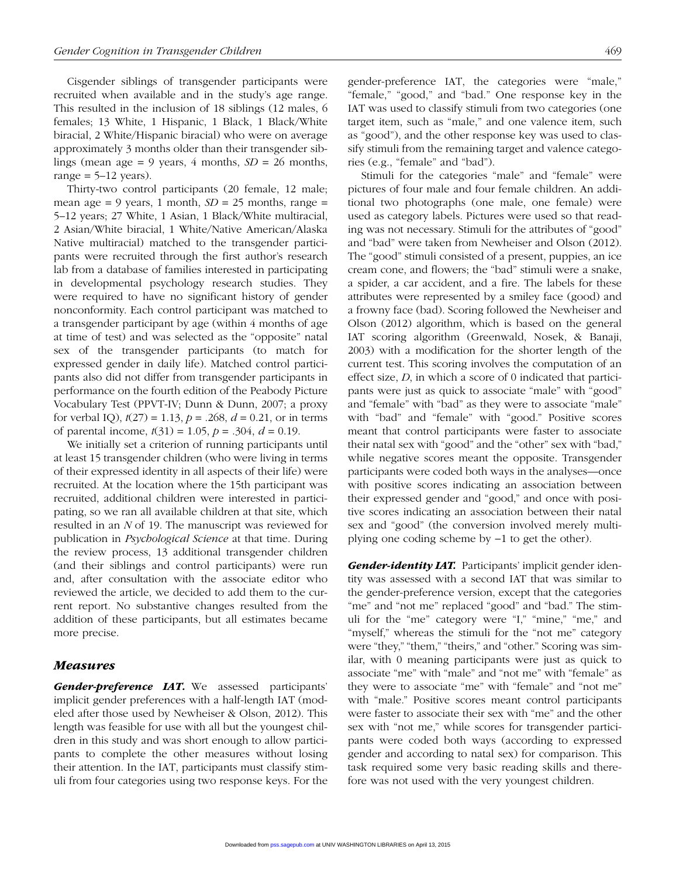Cisgender siblings of transgender participants were recruited when available and in the study's age range. This resulted in the inclusion of 18 siblings (12 males, 6 females; 13 White, 1 Hispanic, 1 Black, 1 Black/White biracial, 2 White/Hispanic biracial) who were on average approximately 3 months older than their transgender siblings (mean age  $= 9$  years, 4 months,  $SD = 26$  months, range  $= 5-12$  years).

Thirty-two control participants (20 female, 12 male; mean age = 9 years, 1 month,  $SD = 25$  months, range = 5–12 years; 27 White, 1 Asian, 1 Black/White multiracial, 2 Asian/White biracial, 1 White/Native American/Alaska Native multiracial) matched to the transgender participants were recruited through the first author's research lab from a database of families interested in participating in developmental psychology research studies. They were required to have no significant history of gender nonconformity. Each control participant was matched to a transgender participant by age (within 4 months of age at time of test) and was selected as the "opposite" natal sex of the transgender participants (to match for expressed gender in daily life). Matched control participants also did not differ from transgender participants in performance on the fourth edition of the Peabody Picture Vocabulary Test (PPVT-IV; Dunn & Dunn, 2007; a proxy for verbal IQ),  $t(27) = 1.13$ ,  $p = .268$ ,  $d = 0.21$ , or in terms of parental income, *t*(31) = 1.05, *p* = .304, *d* = 0.19.

We initially set a criterion of running participants until at least 15 transgender children (who were living in terms of their expressed identity in all aspects of their life) were recruited. At the location where the 15th participant was recruited, additional children were interested in participating, so we ran all available children at that site, which resulted in an *N* of 19. The manuscript was reviewed for publication in *Psychological Science* at that time. During the review process, 13 additional transgender children (and their siblings and control participants) were run and, after consultation with the associate editor who reviewed the article, we decided to add them to the current report. No substantive changes resulted from the addition of these participants, but all estimates became more precise.

#### *Measures*

*Gender-preference IAT.* We assessed participants' implicit gender preferences with a half-length IAT (modeled after those used by Newheiser & Olson, 2012). This length was feasible for use with all but the youngest children in this study and was short enough to allow participants to complete the other measures without losing their attention. In the IAT, participants must classify stimuli from four categories using two response keys. For the gender-preference IAT, the categories were "male," "female," "good," and "bad." One response key in the IAT was used to classify stimuli from two categories (one target item, such as "male," and one valence item, such as "good"), and the other response key was used to classify stimuli from the remaining target and valence categories (e.g., "female" and "bad").

Stimuli for the categories "male" and "female" were pictures of four male and four female children. An additional two photographs (one male, one female) were used as category labels. Pictures were used so that reading was not necessary. Stimuli for the attributes of "good" and "bad" were taken from Newheiser and Olson (2012). The "good" stimuli consisted of a present, puppies, an ice cream cone, and flowers; the "bad" stimuli were a snake, a spider, a car accident, and a fire. The labels for these attributes were represented by a smiley face (good) and a frowny face (bad). Scoring followed the Newheiser and Olson (2012) algorithm, which is based on the general IAT scoring algorithm (Greenwald, Nosek, & Banaji, 2003) with a modification for the shorter length of the current test. This scoring involves the computation of an effect size, *D*, in which a score of 0 indicated that participants were just as quick to associate "male" with "good" and "female" with "bad" as they were to associate "male" with "bad" and "female" with "good." Positive scores meant that control participants were faster to associate their natal sex with "good" and the "other" sex with "bad," while negative scores meant the opposite. Transgender participants were coded both ways in the analyses—once with positive scores indicating an association between their expressed gender and "good," and once with positive scores indicating an association between their natal sex and "good" (the conversion involved merely multiplying one coding scheme by −1 to get the other).

*Gender-identity IAT.* Participants' implicit gender identity was assessed with a second IAT that was similar to the gender-preference version, except that the categories "me" and "not me" replaced "good" and "bad." The stimuli for the "me" category were "I," "mine," "me," and "myself," whereas the stimuli for the "not me" category were "they," "them," "theirs," and "other." Scoring was similar, with 0 meaning participants were just as quick to associate "me" with "male" and "not me" with "female" as they were to associate "me" with "female" and "not me" with "male." Positive scores meant control participants were faster to associate their sex with "me" and the other sex with "not me," while scores for transgender participants were coded both ways (according to expressed gender and according to natal sex) for comparison. This task required some very basic reading skills and therefore was not used with the very youngest children.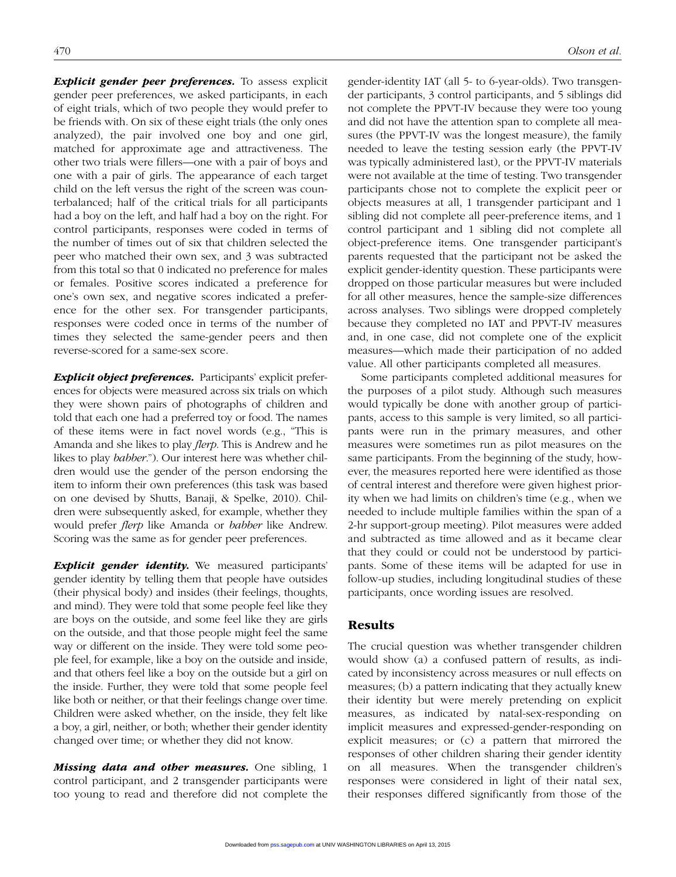*Explicit gender peer preferences.* To assess explicit gender peer preferences, we asked participants, in each of eight trials, which of two people they would prefer to be friends with. On six of these eight trials (the only ones analyzed), the pair involved one boy and one girl, matched for approximate age and attractiveness. The other two trials were fillers—one with a pair of boys and one with a pair of girls. The appearance of each target child on the left versus the right of the screen was counterbalanced; half of the critical trials for all participants had a boy on the left, and half had a boy on the right. For control participants, responses were coded in terms of the number of times out of six that children selected the peer who matched their own sex, and 3 was subtracted from this total so that 0 indicated no preference for males or females. Positive scores indicated a preference for one's own sex, and negative scores indicated a preference for the other sex. For transgender participants, responses were coded once in terms of the number of times they selected the same-gender peers and then reverse-scored for a same-sex score.

*Explicit object preferences.* Participants' explicit preferences for objects were measured across six trials on which they were shown pairs of photographs of children and told that each one had a preferred toy or food. The names of these items were in fact novel words (e.g., "This is Amanda and she likes to play *flerp*. This is Andrew and he likes to play *babber*."). Our interest here was whether children would use the gender of the person endorsing the item to inform their own preferences (this task was based on one devised by Shutts, Banaji, & Spelke, 2010). Children were subsequently asked, for example, whether they would prefer *flerp* like Amanda or *babber* like Andrew. Scoring was the same as for gender peer preferences.

**Explicit gender identity.** We measured participants' gender identity by telling them that people have outsides (their physical body) and insides (their feelings, thoughts, and mind). They were told that some people feel like they are boys on the outside, and some feel like they are girls on the outside, and that those people might feel the same way or different on the inside. They were told some people feel, for example, like a boy on the outside and inside, and that others feel like a boy on the outside but a girl on the inside. Further, they were told that some people feel like both or neither, or that their feelings change over time. Children were asked whether, on the inside, they felt like a boy, a girl, neither, or both; whether their gender identity changed over time; or whether they did not know.

*Missing data and other measures.* One sibling, 1 control participant, and 2 transgender participants were too young to read and therefore did not complete the gender-identity IAT (all 5- to 6-year-olds). Two transgender participants, 3 control participants, and 5 siblings did not complete the PPVT-IV because they were too young and did not have the attention span to complete all measures (the PPVT-IV was the longest measure), the family needed to leave the testing session early (the PPVT-IV was typically administered last), or the PPVT-IV materials were not available at the time of testing. Two transgender participants chose not to complete the explicit peer or objects measures at all, 1 transgender participant and 1 sibling did not complete all peer-preference items, and 1 control participant and 1 sibling did not complete all object-preference items. One transgender participant's parents requested that the participant not be asked the explicit gender-identity question. These participants were dropped on those particular measures but were included for all other measures, hence the sample-size differences across analyses. Two siblings were dropped completely because they completed no IAT and PPVT-IV measures and, in one case, did not complete one of the explicit measures—which made their participation of no added value. All other participants completed all measures.

Some participants completed additional measures for the purposes of a pilot study. Although such measures would typically be done with another group of participants, access to this sample is very limited, so all participants were run in the primary measures, and other measures were sometimes run as pilot measures on the same participants. From the beginning of the study, however, the measures reported here were identified as those of central interest and therefore were given highest priority when we had limits on children's time (e.g., when we needed to include multiple families within the span of a 2-hr support-group meeting). Pilot measures were added and subtracted as time allowed and as it became clear that they could or could not be understood by participants. Some of these items will be adapted for use in follow-up studies, including longitudinal studies of these participants, once wording issues are resolved.

# Results

The crucial question was whether transgender children would show (a) a confused pattern of results, as indicated by inconsistency across measures or null effects on measures; (b) a pattern indicating that they actually knew their identity but were merely pretending on explicit measures, as indicated by natal-sex-responding on implicit measures and expressed-gender-responding on explicit measures; or (c) a pattern that mirrored the responses of other children sharing their gender identity on all measures. When the transgender children's responses were considered in light of their natal sex, their responses differed significantly from those of the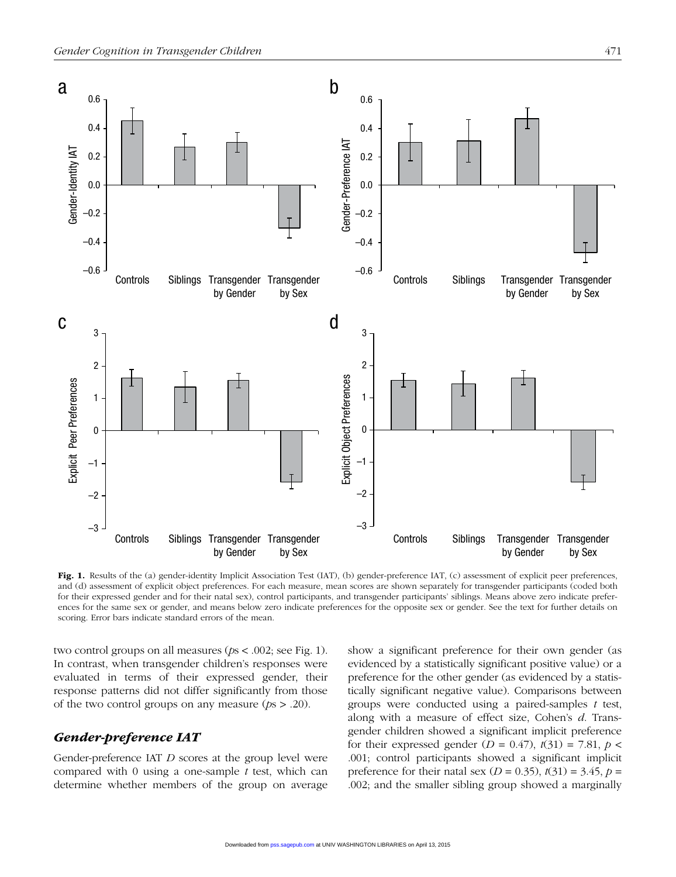

Fig. 1. Results of the (a) gender-identity Implicit Association Test (IAT), (b) gender-preference IAT, (c) assessment of explicit peer preferences, and (d) assessment of explicit object preferences. For each measure, mean scores are shown separately for transgender participants (coded both for their expressed gender and for their natal sex), control participants, and transgender participants' siblings. Means above zero indicate preferences for the same sex or gender, and means below zero indicate preferences for the opposite sex or gender. See the text for further details on scoring. Error bars indicate standard errors of the mean.

two control groups on all measures (*p*s < .002; see Fig. 1). In contrast, when transgender children's responses were evaluated in terms of their expressed gender, their response patterns did not differ significantly from those of the two control groups on any measure (*p*s > .20).

# *Gender-preference IAT*

Gender-preference IAT *D* scores at the group level were compared with 0 using a one-sample *t* test, which can determine whether members of the group on average show a significant preference for their own gender (as evidenced by a statistically significant positive value) or a preference for the other gender (as evidenced by a statistically significant negative value). Comparisons between groups were conducted using a paired-samples *t* test, along with a measure of effect size, Cohen's *d*. Transgender children showed a significant implicit preference for their expressed gender  $(D = 0.47)$ ,  $t(31) = 7.81$ ,  $p <$ .001; control participants showed a significant implicit preference for their natal sex ( $D = 0.35$ ),  $t(31) = 3.45$ ,  $p =$ .002; and the smaller sibling group showed a marginally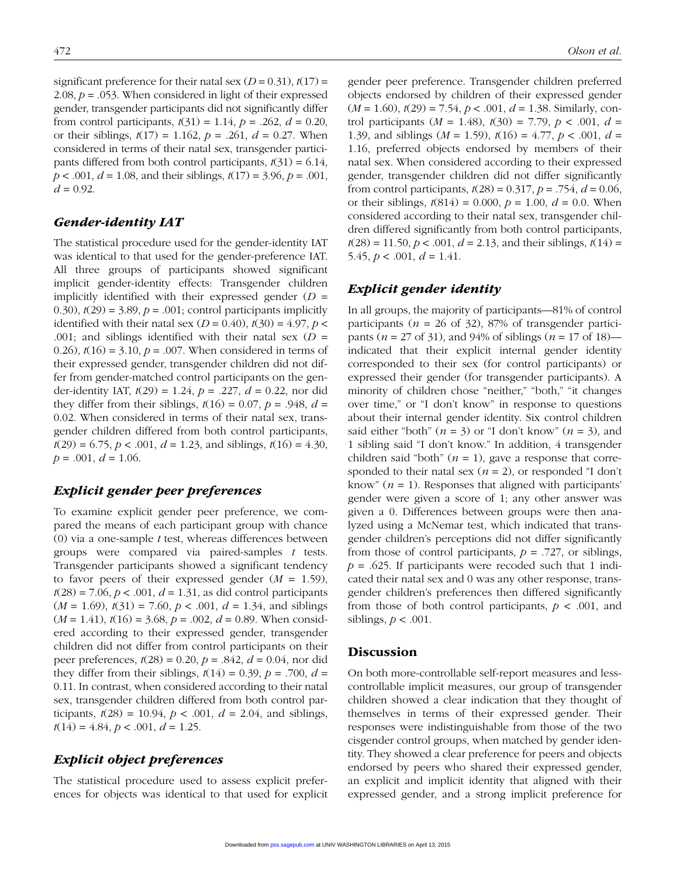significant preference for their natal sex  $(D = 0.31)$ ,  $t(17) =$ 2.08,  $p = 0.053$ . When considered in light of their expressed gender, transgender participants did not significantly differ from control participants,  $t(31) = 1.14$ ,  $p = .262$ ,  $d = 0.20$ , or their siblings,  $t(17) = 1.162$ ,  $p = .261$ ,  $d = 0.27$ . When considered in terms of their natal sex, transgender participants differed from both control participants,  $t(31) = 6.14$ , *p* < .001, *d* = 1.08, and their siblings, *t*(17) = 3.96, *p* = .001,  $d = 0.92$ .

# *Gender-identity IAT*

The statistical procedure used for the gender-identity IAT was identical to that used for the gender-preference IAT. All three groups of participants showed significant implicit gender-identity effects: Transgender children implicitly identified with their expressed gender (*D* = 0.30),  $t(29) = 3.89$ ,  $p = .001$ ; control participants implicitly identified with their natal sex  $(D = 0.40)$ ,  $t(30) = 4.97$ ,  $p <$ .001; and siblings identified with their natal sex  $(D =$ 0.26),  $t(16) = 3.10$ ,  $p = .007$ . When considered in terms of their expressed gender, transgender children did not differ from gender-matched control participants on the gender-identity IAT, *t*(29) = 1.24, *p* = .227, *d* = 0.22, nor did they differ from their siblings,  $t(16) = 0.07$ ,  $p = .948$ ,  $d =$ 0.02. When considered in terms of their natal sex, transgender children differed from both control participants,  $t(29) = 6.75$ ,  $p < .001$ ,  $d = 1.23$ , and siblings,  $t(16) = 4.30$ ,  $p = .001, d = 1.06.$ 

# *Explicit gender peer preferences*

To examine explicit gender peer preference, we compared the means of each participant group with chance (0) via a one-sample *t* test, whereas differences between groups were compared via paired-samples *t* tests. Transgender participants showed a significant tendency to favor peers of their expressed gender  $(M = 1.59)$ ,  $t(28) = 7.06, p < .001, d = 1.31$ , as did control participants  $(M = 1.69)$ ,  $t(31) = 7.60$ ,  $p < .001$ ,  $d = 1.34$ , and siblings  $(M = 1.41)$ ,  $t(16) = 3.68$ ,  $p = .002$ ,  $d = 0.89$ . When considered according to their expressed gender, transgender children did not differ from control participants on their peer preferences, *t*(28) = 0.20, *p* = .842, *d* = 0.04, nor did they differ from their siblings,  $t(14) = 0.39$ ,  $p = .700$ ,  $d =$ 0.11. In contrast, when considered according to their natal sex, transgender children differed from both control participants,  $t(28) = 10.94$ ,  $p < .001$ ,  $d = 2.04$ , and siblings,  $t(14) = 4.84, p < .001, d = 1.25.$ 

# *Explicit object preferences*

The statistical procedure used to assess explicit preferences for objects was identical to that used for explicit gender peer preference. Transgender children preferred objects endorsed by children of their expressed gender (*M* = 1.60), *t*(29) = 7.54, *p* < .001, *d* = 1.38. Similarly, control participants  $(M = 1.48)$ ,  $t(30) = 7.79$ ,  $p < .001$ ,  $d =$ 1.39, and siblings (*M* = 1.59), *t*(16) = 4.77, *p* < .001, *d* = 1.16, preferred objects endorsed by members of their natal sex. When considered according to their expressed gender, transgender children did not differ significantly from control participants,  $t(28) = 0.317$ ,  $p = .754$ ,  $d = 0.06$ , or their siblings,  $t(814) = 0.000$ ,  $p = 1.00$ ,  $d = 0.0$ . When considered according to their natal sex, transgender children differed significantly from both control participants,  $t(28) = 11.50, p < .001, d = 2.13$ , and their siblings,  $t(14) =$ 5.45,  $p < .001$ ,  $d = 1.41$ .

# *Explicit gender identity*

In all groups, the majority of participants—81% of control participants ( $n = 26$  of 32), 87% of transgender participants (*n* = 27 of 31), and 94% of siblings (*n* = 17 of 18) indicated that their explicit internal gender identity corresponded to their sex (for control participants) or expressed their gender (for transgender participants). A minority of children chose "neither," "both," "it changes over time," or "I don't know" in response to questions about their internal gender identity. Six control children said either "both"  $(n = 3)$  or "I don't know"  $(n = 3)$ , and 1 sibling said "I don't know." In addition, 4 transgender children said "both"  $(n = 1)$ , gave a response that corresponded to their natal sex  $(n = 2)$ , or responded "I don't know"  $(n = 1)$ . Responses that aligned with participants' gender were given a score of 1; any other answer was given a 0. Differences between groups were then analyzed using a McNemar test, which indicated that transgender children's perceptions did not differ significantly from those of control participants,  $p = .727$ , or siblings,  $p = .625$ . If participants were recoded such that 1 indicated their natal sex and 0 was any other response, transgender children's preferences then differed significantly from those of both control participants,  $p < .001$ , and siblings,  $p < .001$ .

## **Discussion**

On both more-controllable self-report measures and lesscontrollable implicit measures, our group of transgender children showed a clear indication that they thought of themselves in terms of their expressed gender. Their responses were indistinguishable from those of the two cisgender control groups, when matched by gender identity. They showed a clear preference for peers and objects endorsed by peers who shared their expressed gender, an explicit and implicit identity that aligned with their expressed gender, and a strong implicit preference for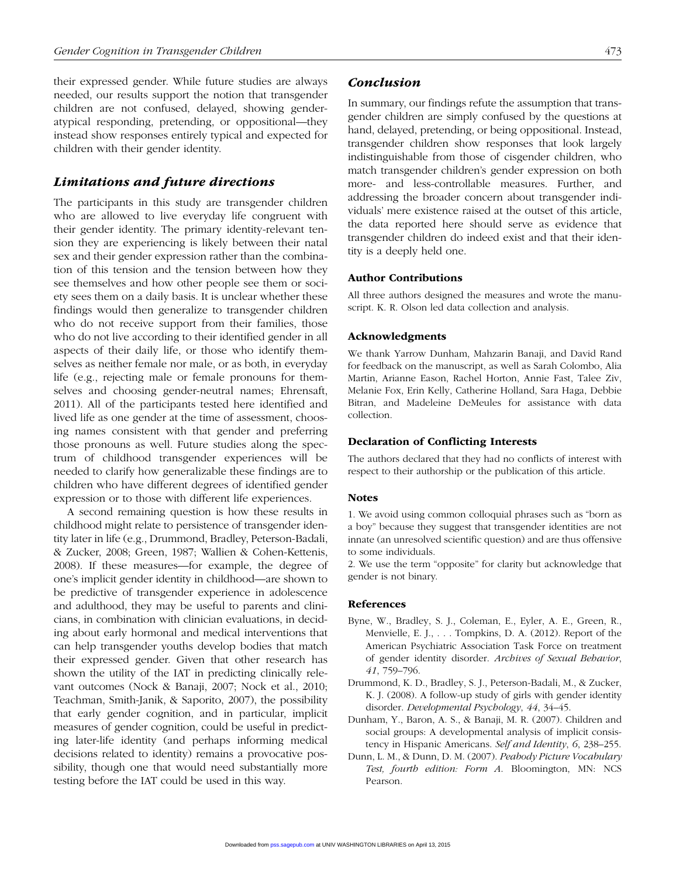their expressed gender. While future studies are always needed, our results support the notion that transgender children are not confused, delayed, showing genderatypical responding, pretending, or oppositional—they instead show responses entirely typical and expected for children with their gender identity.

# *Limitations and future directions*

The participants in this study are transgender children who are allowed to live everyday life congruent with their gender identity. The primary identity-relevant tension they are experiencing is likely between their natal sex and their gender expression rather than the combination of this tension and the tension between how they see themselves and how other people see them or society sees them on a daily basis. It is unclear whether these findings would then generalize to transgender children who do not receive support from their families, those who do not live according to their identified gender in all aspects of their daily life, or those who identify themselves as neither female nor male, or as both, in everyday life (e.g., rejecting male or female pronouns for themselves and choosing gender-neutral names; Ehrensaft, 2011). All of the participants tested here identified and lived life as one gender at the time of assessment, choosing names consistent with that gender and preferring those pronouns as well. Future studies along the spectrum of childhood transgender experiences will be needed to clarify how generalizable these findings are to children who have different degrees of identified gender expression or to those with different life experiences.

A second remaining question is how these results in childhood might relate to persistence of transgender identity later in life (e.g., Drummond, Bradley, Peterson-Badali, & Zucker, 2008; Green, 1987; Wallien & Cohen-Kettenis, 2008). If these measures—for example, the degree of one's implicit gender identity in childhood—are shown to be predictive of transgender experience in adolescence and adulthood, they may be useful to parents and clinicians, in combination with clinician evaluations, in deciding about early hormonal and medical interventions that can help transgender youths develop bodies that match their expressed gender. Given that other research has shown the utility of the IAT in predicting clinically relevant outcomes (Nock & Banaji, 2007; Nock et al., 2010; Teachman, Smith-Janik, & Saporito, 2007), the possibility that early gender cognition, and in particular, implicit measures of gender cognition, could be useful in predicting later-life identity (and perhaps informing medical decisions related to identity) remains a provocative possibility, though one that would need substantially more testing before the IAT could be used in this way.

### *Conclusion*

In summary, our findings refute the assumption that transgender children are simply confused by the questions at hand, delayed, pretending, or being oppositional. Instead, transgender children show responses that look largely indistinguishable from those of cisgender children, who match transgender children's gender expression on both more- and less-controllable measures. Further, and addressing the broader concern about transgender individuals' mere existence raised at the outset of this article, the data reported here should serve as evidence that transgender children do indeed exist and that their identity is a deeply held one.

#### Author Contributions

All three authors designed the measures and wrote the manuscript. K. R. Olson led data collection and analysis.

#### Acknowledgments

We thank Yarrow Dunham, Mahzarin Banaji, and David Rand for feedback on the manuscript, as well as Sarah Colombo, Alia Martin, Arianne Eason, Rachel Horton, Annie Fast, Talee Ziv, Melanie Fox, Erin Kelly, Catherine Holland, Sara Haga, Debbie Bitran, and Madeleine DeMeules for assistance with data collection.

#### Declaration of Conflicting Interests

The authors declared that they had no conflicts of interest with respect to their authorship or the publication of this article.

#### **Notes**

1. We avoid using common colloquial phrases such as "born as a boy" because they suggest that transgender identities are not innate (an unresolved scientific question) and are thus offensive to some individuals.

2. We use the term "opposite" for clarity but acknowledge that gender is not binary.

#### References

- Byne, W., Bradley, S. J., Coleman, E., Eyler, A. E., Green, R., Menvielle, E. J., . . . Tompkins, D. A. (2012). Report of the American Psychiatric Association Task Force on treatment of gender identity disorder. *Archives of Sexual Behavior*, *41*, 759–796.
- Drummond, K. D., Bradley, S. J., Peterson-Badali, M., & Zucker, K. J. (2008). A follow-up study of girls with gender identity disorder. *Developmental Psychology*, *44*, 34–45.
- Dunham, Y., Baron, A. S., & Banaji, M. R. (2007). Children and social groups: A developmental analysis of implicit consistency in Hispanic Americans. *Self and Identity*, *6*, 238–255.
- Dunn, L. M., & Dunn, D. M. (2007). *Peabody Picture Vocabulary Test, fourth edition: Form A*. Bloomington, MN: NCS Pearson.